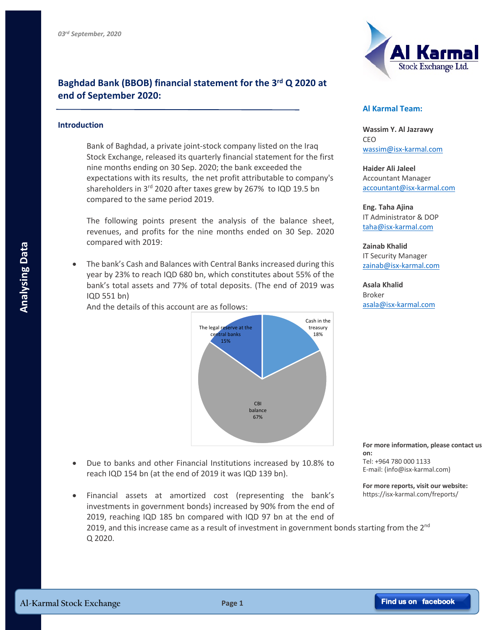

## **Baghdad Bank (BBOB) financial statement for the 3rd Q 2020 at end of September 2020:**

## **Introduction**

Bank of Baghdad, a private joint-stock company listed on the Iraq Stock Exchange, released its quarterly financial statement for the first nine months ending on 30 Sep. 2020; the bank exceeded the expectations with its results, the net profit attributable to company's shareholders in 3<sup>rd</sup> 2020 after taxes grew by 267% to IQD 19.5 bn compared to the same period 2019.

The following points present the analysis of the balance sheet, revenues, and profits for the nine months ended on 30 Sep. 2020 compared with 2019:

• The bank's Cash and Balances with Central Banks increased during this year by 23% to reach IQD 680 bn, which constitutes about 55% of the bank's total assets and 77% of total deposits. (The end of 2019 was IQD 551 bn)

And the details of this account are as follows:



- Due to banks and other Financial Institutions increased by 10.8% to reach IQD 154 bn (at the end of 2019 it was IQD 139 bn).
- Financial assets at amortized cost (representing the bank's investments in government bonds) increased by 90% from the end of 2019, reaching IQD 185 bn compared with IQD 97 bn at the end of 2019, and this increase came as a result of investment in government bonds starting from the  $2^{nd}$ Q 2020.

## **Al Karmal Team:**

**Wassim Y. Al Jazrawy** CEO wassim@isx-karmal.com

**Haider Ali Jaleel** Accountant Manager accountant@isx-karmal.com

**Eng. Taha Ajina**  IT Administrator & DOP taha@isx-karmal.com

**Zainab Khalid** IT Security Manager zainab@isx-karmal.com

**Asala Khalid** Broker asala@isx-karmal.com

**For more information, please contact us on:** Tel: +964 780 000 1133 E-mail: (info@isx-karmal.com)

**For more reports, visit our website:** https://isx-karmal.com/freports/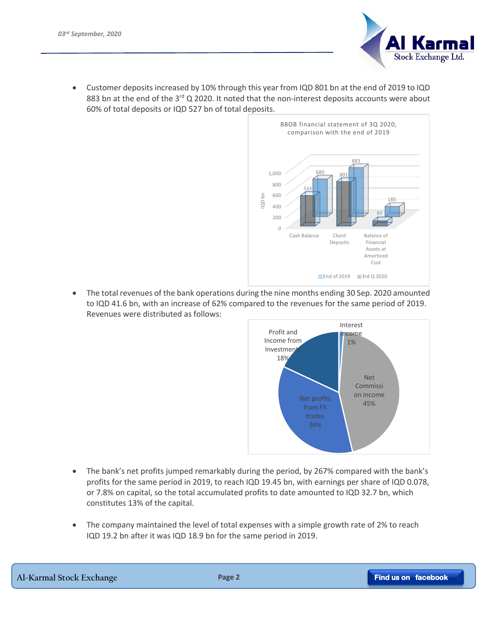

• Customer deposits increased by 10% through this year from IQD 801 bn at the end of 2019 to IQD 883 bn at the end of the  $3^{rd}$  Q 2020. It noted that the non-interest deposits accounts were about 60% of total deposits or IQD 527 bn of total deposits.



• The total revenues of the bank operations during the nine months ending 30 Sep. 2020 amounted to IQD 41.6 bn, with an increase of 62% compared to the revenues for the same period of 2019. Revenues were distributed as follows:



- The bank's net profits jumped remarkably during the period, by 267% compared with the bank's profits for the same period in 2019, to reach IQD 19.45 bn, with earnings per share of IQD 0.078, or 7.8% on capital, so the total accumulated profits to date amounted to IQD 32.7 bn, which constitutes 13% of the capital.
- The company maintained the level of total expenses with a simple growth rate of 2% to reach IQD 19.2 bn after it was IQD 18.9 bn for the same period in 2019.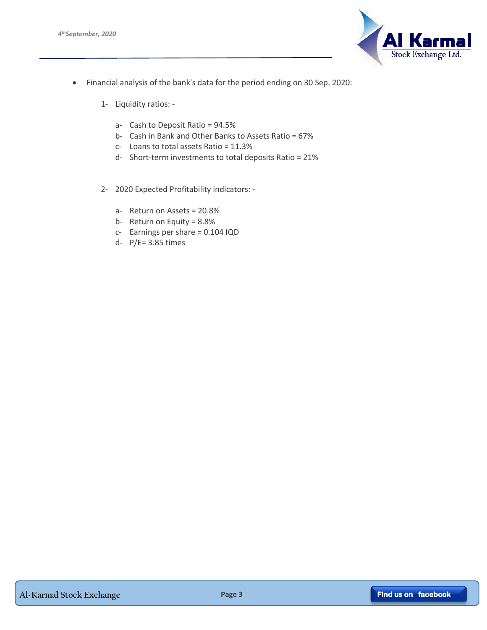

- Financial analysis of the bank's data for the period ending on 30 Sep. 2020:
	- 1- Liquidity ratios:
		- a- Cash to Deposit Ratio = 94.5%
		- b- Cash in Bank and Other Banks to Assets Ratio = 67%
		- c- Loans to total assets Ratio = 11.3%
		- d- Short-term investments to total deposits Ratio = 21%
	- 2- 2020 Expected Profitability indicators:
		- a- Return on Assets = 20.8%
		- b- Return on Equity = 8.8%
		- c- Earnings per share = 0.104 IQD
		- d- P/E= 3.85 times